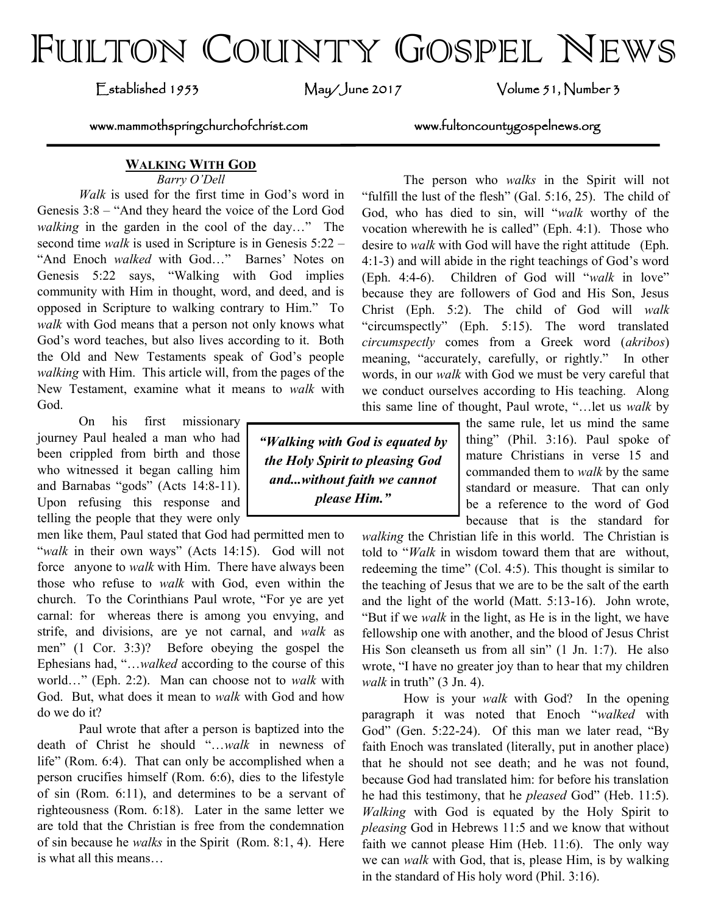# FULTON COUNTY GOSPEL NEWS

Established 1953 May/June 2017 Volume 51, Number 3

www.mammothspringchurchofchrist.com www.fultoncountygospelnews.org

## **WALKING WITH GOD**

*Barry O'Dell*

*Walk* is used for the first time in God's word in Genesis 3:8 – "And they heard the voice of the Lord God *walking* in the garden in the cool of the day…" The second time *walk* is used in Scripture is in Genesis 5:22 – "And Enoch *walked* with God…" Barnes' Notes on Genesis 5:22 says, "Walking with God implies community with Him in thought, word, and deed, and is opposed in Scripture to walking contrary to Him." To *walk* with God means that a person not only knows what God's word teaches, but also lives according to it. Both the Old and New Testaments speak of God's people *walking* with Him. This article will, from the pages of the New Testament, examine what it means to *walk* with God.

On his first missionary journey Paul healed a man who had been crippled from birth and those who witnessed it began calling him and Barnabas "gods" (Acts 14:8-11). Upon refusing this response and telling the people that they were only

men like them, Paul stated that God had permitted men to "walk in their own ways" (Acts 14:15). God will not force anyone to *walk* with Him. There have always been those who refuse to *walk* with God, even within the church. To the Corinthians Paul wrote, "For ye are yet carnal: for whereas there is among you envying, and strife, and divisions, are ye not carnal, and *walk* as men" (1 Cor. 3:3)? Before obeying the gospel the Ephesians had, "…*walked* according to the course of this world…" (Eph. 2:2). Man can choose not to *walk* with God. But, what does it mean to *walk* with God and how do we do it?

Paul wrote that after a person is baptized into the death of Christ he should "…*walk* in newness of life" (Rom. 6:4). That can only be accomplished when a person crucifies himself (Rom. 6:6), dies to the lifestyle of sin (Rom. 6:11), and determines to be a servant of righteousness (Rom. 6:18). Later in the same letter we are told that the Christian is free from the condemnation of sin because he *walks* in the Spirit (Rom. 8:1, 4). Here is what all this means…

The person who *walks* in the Spirit will not "fulfill the lust of the flesh" (Gal. 5:16, 25). The child of God, who has died to sin, will "*walk* worthy of the vocation wherewith he is called" (Eph. 4:1). Those who desire to *walk* with God will have the right attitude (Eph. 4:1-3) and will abide in the right teachings of God's word (Eph. 4:4-6). Children of God will "*walk* in love" because they are followers of God and His Son, Jesus Christ (Eph. 5:2). The child of God will *walk* "circumspectly" (Eph. 5:15). The word translated *circumspectly* comes from a Greek word (*akribos*) meaning, "accurately, carefully, or rightly." In other words, in our *walk* with God we must be very careful that we conduct ourselves according to His teaching. Along this same line of thought, Paul wrote, "…let us *walk* by

> the same rule, let us mind the same thing" (Phil. 3:16). Paul spoke of mature Christians in verse 15 and commanded them to *walk* by the same standard or measure. That can only be a reference to the word of God because that is the standard for

*walking* the Christian life in this world. The Christian is told to "*Walk* in wisdom toward them that are without, redeeming the time" (Col. 4:5). This thought is similar to the teaching of Jesus that we are to be the salt of the earth and the light of the world (Matt. 5:13-16). John wrote, "But if we *walk* in the light, as He is in the light, we have fellowship one with another, and the blood of Jesus Christ His Son cleanseth us from all sin" (1 Jn. 1:7). He also wrote, "I have no greater joy than to hear that my children *walk* in truth" (3 Jn. 4).

How is your *walk* with God? In the opening paragraph it was noted that Enoch "*walked* with God" (Gen. 5:22-24). Of this man we later read, "By faith Enoch was translated (literally, put in another place) that he should not see death; and he was not found, because God had translated him: for before his translation he had this testimony, that he *pleased* God" (Heb. 11:5). *Walking* with God is equated by the Holy Spirit to *pleasing* God in Hebrews 11:5 and we know that without faith we cannot please Him (Heb. 11:6). The only way we can *walk* with God, that is, please Him, is by walking in the standard of His holy word (Phil. 3:16).

*"Walking with God is equated by the Holy Spirit to pleasing God and...without faith we cannot please Him."*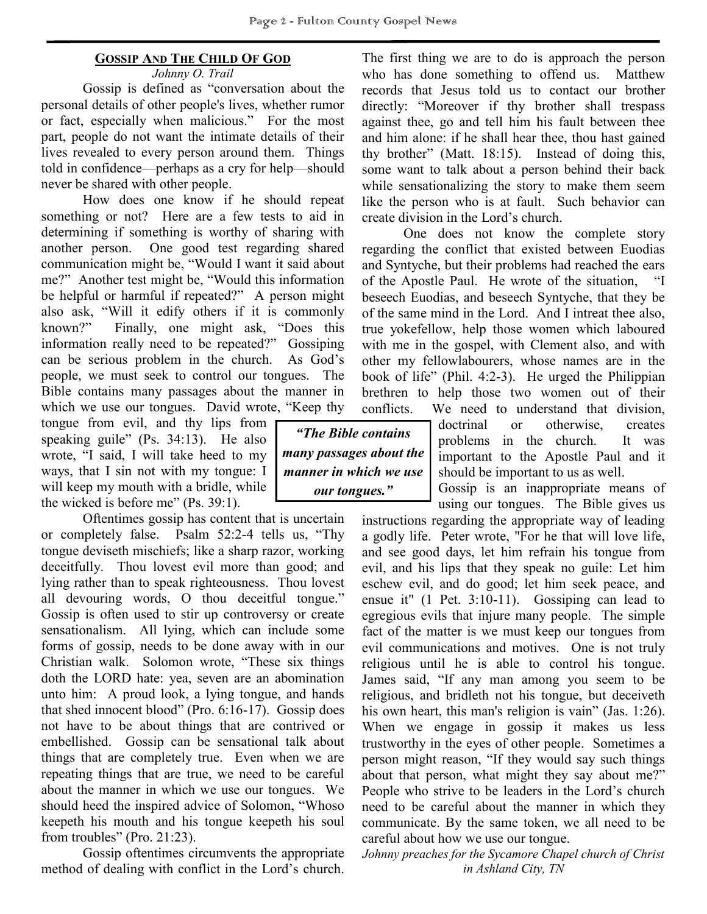## **GOSSIP AND THE CHILD OF GOD**

*Johnny O. Trail* Gossip is defined as "conversation about the personal details of other people's lives, whether rumor or fact, especially when malicious." For the most part, people do not want the intimate details of their lives revealed to every person around them. Things told in confidence—perhaps as a cry for help—should never be shared with other people.

How does one know if he should repeat something or not? Here are a few tests to aid in determining if something is worthy of sharing with another person. One good test regarding shared communication might be, "Would I want it said about me?" Another test might be, "Would this information be helpful or harmful if repeated?" A person might also ask, "Will it edify others if it is commonly known?" Finally, one might ask, "Does this information really need to be repeated?" Gossiping can be serious problem in the church. As God's people, we must seek to control our tongues. The Bible contains many passages about the manner in which we use our tongues. David wrote, "Keep thy

tongue from evil, and thy lips from speaking guile" (Ps. 34:13). He also wrote, "I said, I will take heed to my ways, that I sin not with my tongue: I will keep my mouth with a bridle, while the wicked is before me" (Ps. 39:1).

Oftentimes gossip has content that is uncertain or completely false. Psalm 52:2-4 tells us, "Thy tongue deviseth mischiefs; like a sharp razor, working deceitfully. Thou lovest evil more than good; and lying rather than to speak righteousness. Thou lovest all devouring words, O thou deceitful tongue." Gossip is often used to stir up controversy or create sensationalism. All lying, which can include some forms of gossip, needs to be done away with in our Christian walk. Solomon wrote, "These six things doth the LORD hate: yea, seven are an abomination unto him: A proud look, a lying tongue, and hands that shed innocent blood" (Pro. 6:16-17). Gossip does not have to be about things that are contrived or embellished. Gossip can be sensational talk about things that are completely true. Even when we are repeating things that are true, we need to be careful about the manner in which we use our tongues. We should heed the inspired advice of Solomon, "Whoso keepeth his mouth and his tongue keepeth his soul from troubles" (Pro. 21:23).

Gossip oftentimes circumvents the appropriate method of dealing with conflict in the Lord's church.

The first thing we are to do is approach the person who has done something to offend us. Matthew records that Jesus told us to contact our brother directly: "Moreover if thy brother shall trespass against thee, go and tell him his fault between thee and him alone: if he shall hear thee, thou hast gained thy brother" (Matt. 18:15). Instead of doing this, some want to talk about a person behind their back while sensationalizing the story to make them seem like the person who is at fault. Such behavior can create division in the Lord's church.

One does not know the complete story regarding the conflict that existed between Euodias and Syntyche, but their problems had reached the ears of the Apostle Paul. He wrote of the situation, "I beseech Euodias, and beseech Syntyche, that they be of the same mind in the Lord. And I intreat thee also, true yokefellow, help those women which laboured with me in the gospel, with Clement also, and with other my fellowlabourers, whose names are in the book of life" (Phil. 4:2-3). He urged the Philippian brethren to help those two women out of their conflicts. We need to understand that division,

*"The Bible contains many passages about the manner in which we use our tongues."*

doctrinal or otherwise, creates problems in the church. It was important to the Apostle Paul and it should be important to us as well.

Gossip is an inappropriate means of using our tongues. The Bible gives us

instructions regarding the appropriate way of leading a godly life. Peter wrote, "For he that will love life, and see good days, let him refrain his tongue from evil, and his lips that they speak no guile: Let him eschew evil, and do good; let him seek peace, and ensue it" (1 Pet. 3:10-11). Gossiping can lead to egregious evils that injure many people. The simple fact of the matter is we must keep our tongues from evil communications and motives. One is not truly religious until he is able to control his tongue. James said, "If any man among you seem to be religious, and bridleth not his tongue, but deceiveth his own heart, this man's religion is vain" (Jas. 1:26). When we engage in gossip it makes us less trustworthy in the eyes of other people. Sometimes a person might reason, "If they would say such things about that person, what might they say about me?" People who strive to be leaders in the Lord's church need to be careful about the manner in which they communicate. By the same token, we all need to be careful about how we use our tongue.

*Johnny preaches for the Sycamore Chapel church of Christ in Ashland City, TN*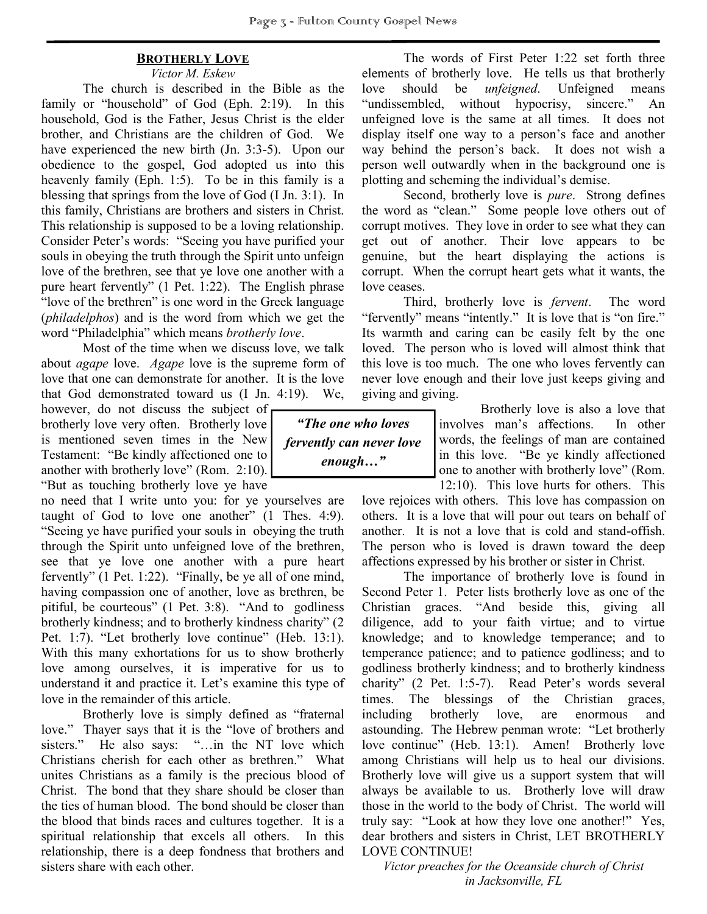## **BROTHERLY LOVE**

#### *Victor M. Eskew*

The church is described in the Bible as the family or "household" of God (Eph. 2:19). In this household, God is the Father, Jesus Christ is the elder brother, and Christians are the children of God. We have experienced the new birth (Jn. 3:3-5). Upon our obedience to the gospel, God adopted us into this heavenly family (Eph. 1:5). To be in this family is a blessing that springs from the love of God (I Jn. 3:1). In this family, Christians are brothers and sisters in Christ. This relationship is supposed to be a loving relationship. Consider Peter's words: "Seeing you have purified your souls in obeying the truth through the Spirit unto unfeign love of the brethren, see that ye love one another with a pure heart fervently" (1 Pet. 1:22). The English phrase "love of the brethren" is one word in the Greek language (*philadelphos*) and is the word from which we get the word "Philadelphia" which means *brotherly love*.

Most of the time when we discuss love, we talk about *agape* love. *Agape* love is the supreme form of love that one can demonstrate for another. It is the love that God demonstrated toward us (I Jn. 4:19). We,

however, do not discuss the subject of brotherly love very often. Brotherly love is mentioned seven times in the New Testament: "Be kindly affectioned one to another with brotherly love" (Rom. 2:10). "But as touching brotherly love ye have

no need that I write unto you: for ye yourselves are taught of God to love one another" (1 Thes. 4:9). "Seeing ye have purified your souls in obeying the truth through the Spirit unto unfeigned love of the brethren, see that ye love one another with a pure heart fervently" (1 Pet. 1:22). "Finally, be ye all of one mind, having compassion one of another, love as brethren, be pitiful, be courteous" (1 Pet. 3:8). "And to godliness brotherly kindness; and to brotherly kindness charity" (2 Pet. 1:7). "Let brotherly love continue" (Heb. 13:1). With this many exhortations for us to show brotherly love among ourselves, it is imperative for us to understand it and practice it. Let's examine this type of love in the remainder of this article.

Brotherly love is simply defined as "fraternal love." Thayer says that it is the "love of brothers and sisters." He also says: "...in the NT love which Christians cherish for each other as brethren." What unites Christians as a family is the precious blood of Christ. The bond that they share should be closer than the ties of human blood. The bond should be closer than the blood that binds races and cultures together. It is a spiritual relationship that excels all others. In this relationship, there is a deep fondness that brothers and sisters share with each other.

The words of First Peter 1:22 set forth three elements of brotherly love. He tells us that brotherly love should be *unfeigned*. Unfeigned means "undissembled, without hypocrisy, sincere." An unfeigned love is the same at all times. It does not display itself one way to a person's face and another way behind the person's back. It does not wish a person well outwardly when in the background one is plotting and scheming the individual's demise.

Second, brotherly love is *pure*. Strong defines the word as "clean." Some people love others out of corrupt motives. They love in order to see what they can get out of another. Their love appears to be genuine, but the heart displaying the actions is corrupt. When the corrupt heart gets what it wants, the love ceases.

Third, brotherly love is *fervent*. The word "fervently" means "intently." It is love that is "on fire." Its warmth and caring can be easily felt by the one loved. The person who is loved will almost think that this love is too much. The one who loves fervently can never love enough and their love just keeps giving and giving and giving.

*"The one who loves fervently can never love enough…"*

Brotherly love is also a love that involves man's affections. In other words, the feelings of man are contained in this love. "Be ye kindly affectioned one to another with brotherly love" (Rom. 12:10). This love hurts for others. This

love rejoices with others. This love has compassion on others. It is a love that will pour out tears on behalf of another. It is not a love that is cold and stand-offish. The person who is loved is drawn toward the deep affections expressed by his brother or sister in Christ.

The importance of brotherly love is found in Second Peter 1. Peter lists brotherly love as one of the Christian graces. "And beside this, giving all diligence, add to your faith virtue; and to virtue knowledge; and to knowledge temperance; and to temperance patience; and to patience godliness; and to godliness brotherly kindness; and to brotherly kindness charity" (2 Pet. 1:5-7). Read Peter's words several times. The blessings of the Christian graces, including brotherly love, are enormous and astounding. The Hebrew penman wrote: "Let brotherly love continue" (Heb. 13:1). Amen! Brotherly love among Christians will help us to heal our divisions. Brotherly love will give us a support system that will always be available to us. Brotherly love will draw those in the world to the body of Christ. The world will truly say: "Look at how they love one another!" Yes, dear brothers and sisters in Christ, LET BROTHERLY LOVE CONTINUE!

*Victor preaches for the Oceanside church of Christ in Jacksonville, FL*